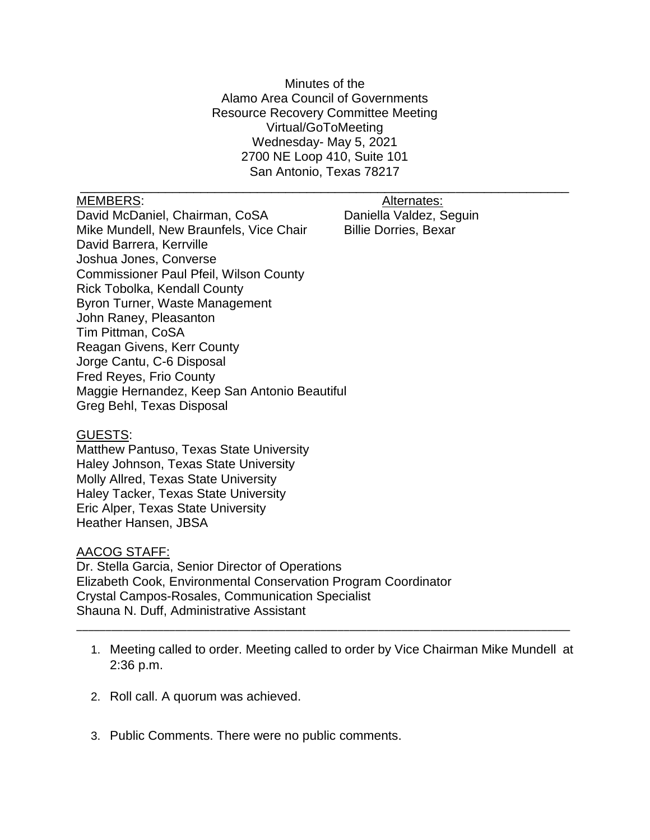Minutes of the Alamo Area Council of Governments Resource Recovery Committee Meeting Virtual/GoToMeeting Wednesday- May 5, 2021 2700 NE Loop 410, Suite 101 San Antonio, Texas 78217

\_\_\_\_\_\_\_\_\_\_\_\_\_\_\_\_\_\_\_\_\_\_\_\_\_\_\_\_\_\_\_\_\_\_\_\_\_\_\_\_\_\_\_\_\_\_\_\_\_\_\_\_\_\_\_\_\_\_\_\_\_\_\_\_\_\_\_\_\_

MEMBERS: Alternates: Alternates:

David McDaniel, Chairman, CoSA Daniella Valdez, Seguin Mike Mundell, New Braunfels, Vice Chair Billie Dorries, Bexar David Barrera, Kerrville Joshua Jones, Converse Commissioner Paul Pfeil, Wilson County Rick Tobolka, Kendall County Byron Turner, Waste Management John Raney, Pleasanton Tim Pittman, CoSA Reagan Givens, Kerr County Jorge Cantu, C-6 Disposal Fred Reyes, Frio County Maggie Hernandez, Keep San Antonio Beautiful Greg Behl, Texas Disposal

## GUESTS:

Matthew Pantuso, Texas State University Haley Johnson, Texas State University Molly Allred, Texas State University Haley Tacker, Texas State University Eric Alper, Texas State University Heather Hansen, JBSA

## AACOG STAFF:

Dr. Stella Garcia, Senior Director of Operations Elizabeth Cook, Environmental Conservation Program Coordinator Crystal Campos-Rosales, Communication Specialist Shauna N. Duff, Administrative Assistant

1. Meeting called to order. Meeting called to order by Vice Chairman Mike Mundell at 2:36 p.m.

\_\_\_\_\_\_\_\_\_\_\_\_\_\_\_\_\_\_\_\_\_\_\_\_\_\_\_\_\_\_\_\_\_\_\_\_\_\_\_\_\_\_\_\_\_\_\_\_\_\_\_\_\_\_\_\_\_\_\_\_\_\_\_\_\_\_\_\_\_\_\_\_\_\_\_\_\_\_\_\_\_\_\_\_\_

- 2. Roll call. A quorum was achieved.
- 3. Public Comments. There were no public comments.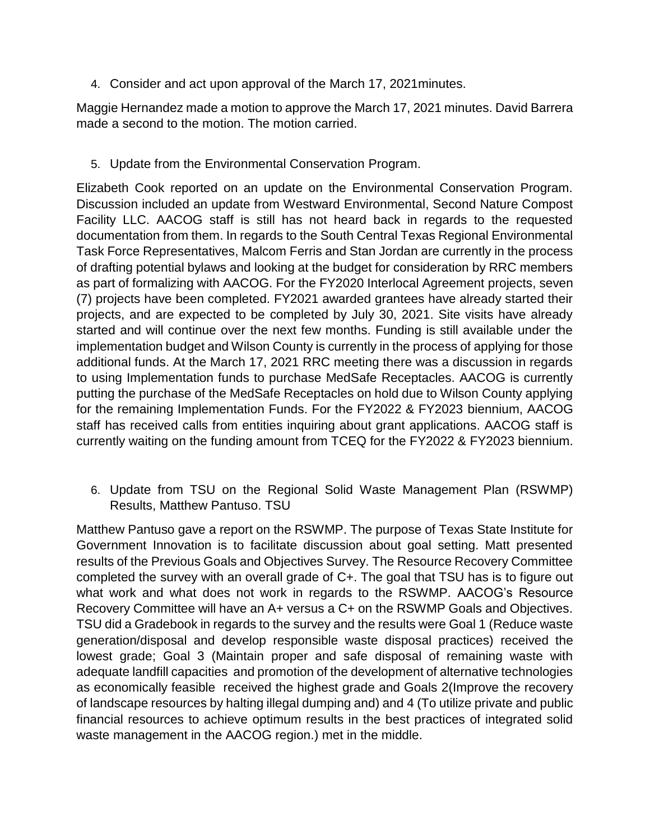4. Consider and act upon approval of the March 17, 2021minutes.

Maggie Hernandez made a motion to approve the March 17, 2021 minutes. David Barrera made a second to the motion. The motion carried.

5. Update from the Environmental Conservation Program.

Elizabeth Cook reported on an update on the Environmental Conservation Program. Discussion included an update from Westward Environmental, Second Nature Compost Facility LLC. AACOG staff is still has not heard back in regards to the requested documentation from them. In regards to the South Central Texas Regional Environmental Task Force Representatives, Malcom Ferris and Stan Jordan are currently in the process of drafting potential bylaws and looking at the budget for consideration by RRC members as part of formalizing with AACOG. For the FY2020 Interlocal Agreement projects, seven (7) projects have been completed. FY2021 awarded grantees have already started their projects, and are expected to be completed by July 30, 2021. Site visits have already started and will continue over the next few months. Funding is still available under the implementation budget and Wilson County is currently in the process of applying for those additional funds. At the March 17, 2021 RRC meeting there was a discussion in regards to using Implementation funds to purchase MedSafe Receptacles. AACOG is currently putting the purchase of the MedSafe Receptacles on hold due to Wilson County applying for the remaining Implementation Funds. For the FY2022 & FY2023 biennium, AACOG staff has received calls from entities inquiring about grant applications. AACOG staff is currently waiting on the funding amount from TCEQ for the FY2022 & FY2023 biennium.

6. Update from TSU on the Regional Solid Waste Management Plan (RSWMP) Results, Matthew Pantuso. TSU

Matthew Pantuso gave a report on the RSWMP. The purpose of Texas State Institute for Government Innovation is to facilitate discussion about goal setting. Matt presented results of the Previous Goals and Objectives Survey. The Resource Recovery Committee completed the survey with an overall grade of C+. The goal that TSU has is to figure out what work and what does not work in regards to the RSWMP. AACOG's Resource Recovery Committee will have an A+ versus a C+ on the RSWMP Goals and Objectives. TSU did a Gradebook in regards to the survey and the results were Goal 1 (Reduce waste generation/disposal and develop responsible waste disposal practices) received the lowest grade; Goal 3 (Maintain proper and safe disposal of remaining waste with adequate landfill capacities and promotion of the development of alternative technologies as economically feasible received the highest grade and Goals 2(Improve the recovery of landscape resources by halting illegal dumping and) and 4 (To utilize private and public financial resources to achieve optimum results in the best practices of integrated solid waste management in the AACOG region.) met in the middle.